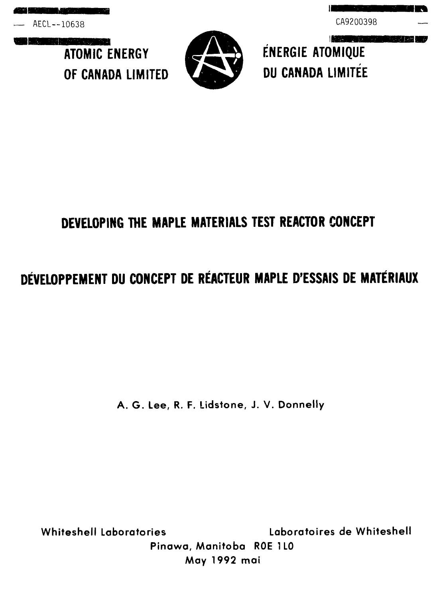— AECL—10638 CA9200398

<u> Primer (1976) a serie</u> **ATOMIC ENERGY** 



**MORNING WAS ARRESTED FOR** ENERGIE ATOMIQUE OF CANADA LIMITED **the CANADA LIMITEE** 

II

# **DEVELOPING THE MAPLE MATERIALS TEST REACTOR CONCEPT**

# **DEVELOPPEMENT DU CONCEPT DE REACTEUR MAPLE D'ESSAIS DE MATERIAUX**

A. G. Lee, R. F. Lidstone, J. V. Donnelly

Whiteshell Laboratories Laboratoires de Whiteshell

Pinawa, Manitoba ROE 1L0 May 1992 mai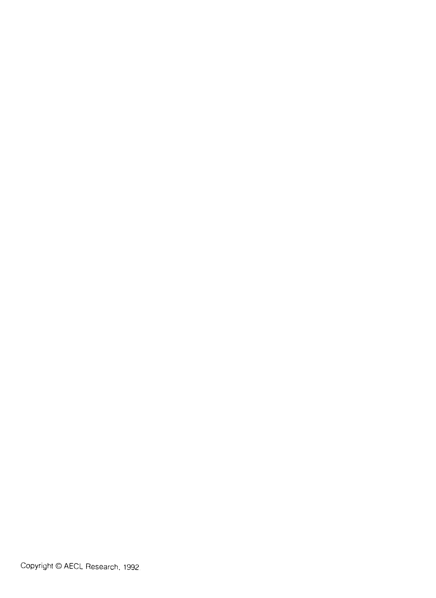Copyright © AECL Research. 1992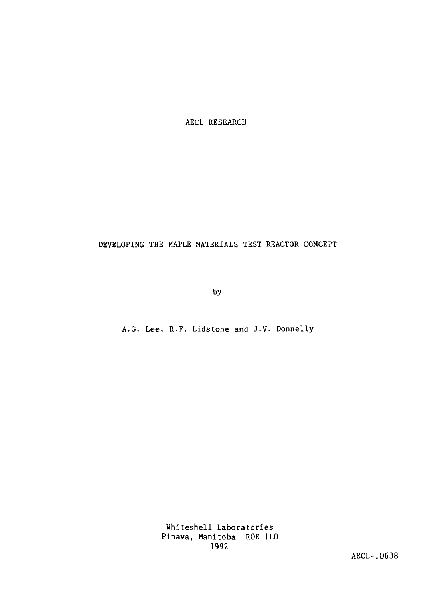AECL RESEARCH

## DEVELOPING THE MAPLE MATERIALS TEST REACTOR CONCEPT

by

A.G. Lee, R.F. Lidstone and J.V. Donnelly

Whiteshell Laboratories Pinawa, Manitoba ROE 1L0 1992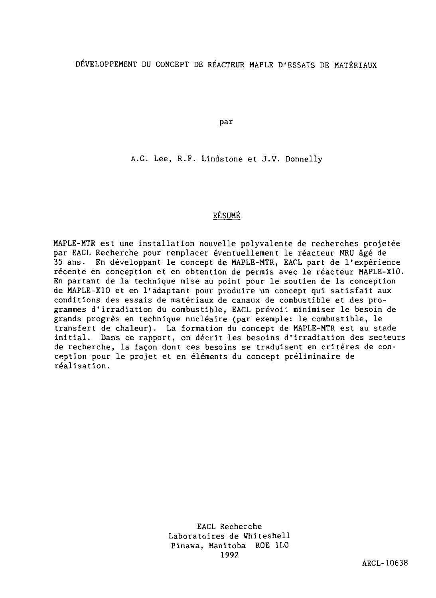## DÉVELOPPEMENT DU CONCEPT DE RÉACTEUR MAPLE D'ESSAIS DE MATÉRIAUX

par

A.G. Lee, R.F. Lindstone et J.V. Donnelly

#### RESUME

MAPLE-MTR est une installation nouvelle polyvalente de recherches projetée par EACL Recherche pour remplacer éventuellement le réacteur NRU âgé de 35 ans. En développant le concept de MAPLE-MTR, EACL part de l'expérience récente en conception et en obtention de permis avec le réacteur MAPLE-X10. En partant de la technique mise au point pour le soutien de la conception de MAPLE-X1O et en l'adaptant pour produire un concept qui satisfait aux conditions des essais de matériaux de canaux de combustible et des programmes d'irradiation du combustible, EACL prévoi'. minimiser le besoin de grands progrès en technique nucléaire (par exemple: le combustible, le transfert de chaleur). La formation du concept de MAPLE-MTR est au stade initial. Dans ce rapport, on décrit les besoins d'irradiation des secteurs de recherche, la façon dont ces besoins se traduisent en critères de conception pour le projet et en éléments du concept préliminaire de réalisation.

> EACL Recherche Laboratoires de Whiteshell Pinawa, Manitoba ROE 1L0 1992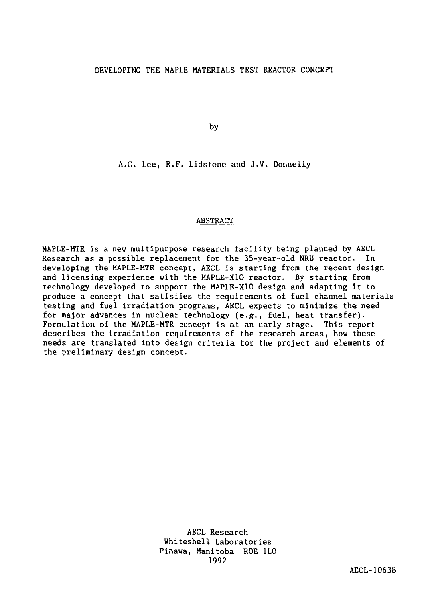by

A.G. Lee, R.F. Lidstone and J.V. Donnelly

#### ABSTRACT

MAPLE-MTR is a new multipurpose research facility being planned by AECL Research as a possible replacement for the 35-year-old NRU reactor. In developing the MAPLE-MTR concept, AECL is starting from the recent design and licensing experience with the MAPLE-X10 reactor. By starting from technology developed to support the MAPLE-X10 design and adapting it to produce a concept that satisfies the requirements of fuel channel materials testing and fuel irradiation programs, AECL expects to minimize the need for major advances in nuclear technology (e.g., fuel, heat transfer). Formulation of the MAPLE-MTR concept is at an early stage. This report describes the irradiation requirements of the research areas, how these needs are translated into design criteria for the project and elements of the preliminary design concept.

> AECL Research Whiteshell Laboratories Pinawa, Manitoba ROE 1L0 1992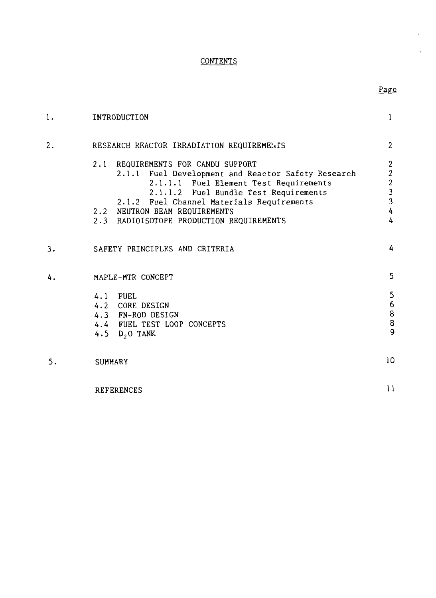# **CONTENTS**

# Page

 $\mathbf{r}$ 

| 1. | INTRODUCTION                                                                                 | $\mathbf{1}$                               |
|----|----------------------------------------------------------------------------------------------|--------------------------------------------|
| 2. | RESEARCH REACTOR IRRADIATION REQUIREMENTS                                                    | $\overline{2}$                             |
|    | $2.1 -$<br>REQUIREMENTS FOR CANDU SUPPORT                                                    | $\boldsymbol{2}$                           |
|    | 2.1.1 Fuel Development and Reactor Safety Research<br>2.1.1.1 Fuel Element Test Requirements | $\boldsymbol{2}$                           |
|    | 2.1.1.2 Fuel Bundle Test Requirements                                                        | $\begin{array}{c} 2 \\ 3 \\ 3 \end{array}$ |
|    | 2.1.2 Fuel Channel Materials Requirements                                                    |                                            |
|    | 2.2 NEUTRON BEAM REQUIREMENTS                                                                | $\overline{\mathbf{c}}$                    |
|    | 2.3 RADIOISOTOPE PRODUCTION REQUIREMENTS                                                     | $\overline{4}$                             |
| 3. | SAFETY PRINCIPLES AND CRITERIA                                                               |                                            |
| 4. | MAPLE-MTR CONCEPT                                                                            | 5                                          |
|    | 4.1 FUEL                                                                                     | 5                                          |
|    | 4.2 CORE DESIGN                                                                              | $\boldsymbol{6}$                           |
|    | 4.3 FN-ROD DESIGN                                                                            | $\begin{array}{c} 8 \\ 8 \\ 9 \end{array}$ |
|    | 4.4 FUEL TEST LOOP CONCEPTS                                                                  |                                            |
|    | 4.5 D <sub>2</sub> 0 TANK                                                                    |                                            |
| 5. | <b>SUMMARY</b>                                                                               | 10                                         |
|    | <b>REFERENCES</b>                                                                            | 11                                         |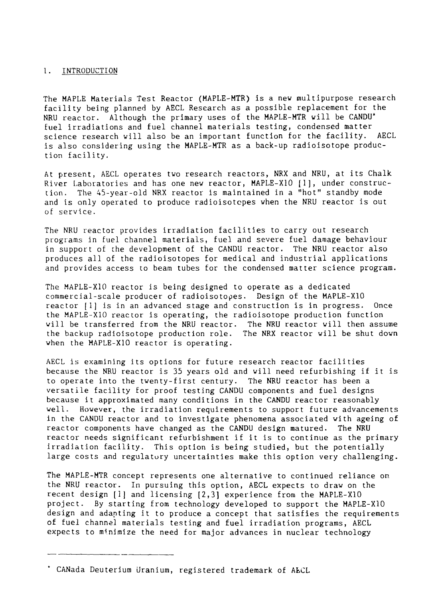#### 1. INTRODUCTION

The MAPLE Materials Test Reactor (MAPLE-MTR) is a nev multipurpose research facility being planned by AECL Research as a possible replacement for the NRU reactor. Although the primary uses of the MAPLE-MTR will be CANDU\* fuel irradiations and fuel channel materials testing, condensed matter science research will also be an important function for the facility. AECL is also considering using the MAPLE-MTR as a back-up radioisotope production facility.

At present, AECL operates two research reactors, NRX and NRU, at its Chalk. River Laboratories and has one new reactor, MAPLE-X10 [1], under construction. The 45-year-old NRX reactor is maintained in a "hot" standby mode and is only operated to produce radioisotcpes when the NRU reactor is out of service.

The NRU reactor provides irradiation facilities to carry out research programs in fuel channel materials, fuel and severe fuel damage behaviour in support of the development of the CANDU reactor. The NRU reactor also produces all of the radioisotopes for medical and industrial applications and provides access to beam tubes for the condensed matter science program.

The MAPLE-X10 reactor is being designed to operate as a dedicated commercial-scale producer of radioisotopes. Design of the MAPLE-X10 reactor [1] is in an advanced stage and construction is in progress. Once the MAPLE-X10 reactor is operating, the radioisotope production function will be transferred from the NRU reactor. The NRU reactor will then assume the backup radioisotope production role. The NRX reactor will be shut down when the MAPLE-X10 reactor is operating.

AECL is examining its options for future research reactor facilities because the NRU reactor is 35 years old and will need refurbishing if it is to operate into the twenty-first century. The NRU reactor has been a versatile facility for proof testing CANDU components and fuel designs because it approximated many conditions in the CANDU reactor reasonably well. However, the irradiation requirements to support future advancements in the CANDU reactor and to investigate phenomena associated with ageing of reactor components have changed as the CANDU design matured. The NRU reactor needs significant refurbishment if it is to continue as the primary irradiation facility. This option is being studied, but the potentially large costs and regulatory uncertainties make this option very challenging.

The MAPLE-MTR concept represents one alternative to continued reliance on. the NRU reactor. In pursuing this option, AECL expects to draw on the recent design [1] and licensing [2,3] experience from the MAPLE-X10 project. By starting from technology developed to support the MAPLE-X10 design and adapting it to produce a concept that satisfies the requirements of fuel channel materials testing and fuel irradiation programs, AECL expects to minimize the need for major advances in nuclear technology

CANada Deuterium Uranium, registered trademark of AECL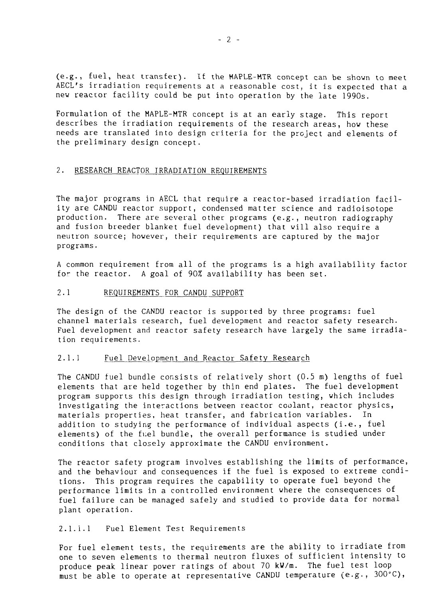(e.g., fuel, heat transfer). If the MAPLE-MTR concept can be shown to meet AECL's irradiation requirements at a reasonable cost, it is expected that a new reactor facility could be put into operation by the late 1990s.

Formulation of the MAPLE-MTR concept is at an early stage. This report describes the irradiation requirements of the research areas, how these needs are translated into design criteria for the project and elements of the preliminary design concept.

#### 2. RESEARCH REACTOR IRRADIATION REQUIREMENTS

The major programs in AECL that require a reactor-based irradiation facility are CANDU reactor support, condensed matter science and radioisotope production. There are several other programs (e.g., neutron radiography and fusion breeder blanket fuel development) that will also require a neutron source; however, their requirements are captured by the major programs.

A common requirement from all of the programs is a high availability factor for the reactor. A goal of 90% availability has been set.

#### 2.1 REQUIREMENTS FOR CANDU SUPPORT

The design of the CANDU reactor is supported by three programs: fuel channel materials research, fuel development and reactor safety research. Fuel development and reactor safety research have largely the same irradiation requirements.

#### 2.1.1 Fuel Development and Reactor Safety Research

The CANDU fuel bundle consists of relatively short (0.5 m) lengths of fuel elements that are held together by thin end plates. The fuel development program supports this design through irradiation testing, which includes investigating the interactions between reactor coolant, reactor physics, materials properties, heat transfer, and fabrication variables. In addition to studying the performance of individual aspects (i.e., fuel elements) of the fuel bundle, the overall performance is studied under conditions that closely approximate the CANDU environment.

The reactor safety program involves establishing the limits of performance, and the behaviour and consequences if the fuel is exposed to extreme conditions. This program requires the capability to operate fuel beyond the performance limits in a controlled environment where the consequences of fuel failure can be managed safely and studied to provide data for normal plant operation.

#### 2.1.1.1 Fuel Element Test Requirements

For fuel element tests, the requirements are the ability to irradiate from one to seven elements to thermal neutron fluxes of sufficient intensity to produce peak linear power ratings of about 70 kW/m. The fuel test loop must be able to operate at representative CANDU temperature (e.g., 300°C),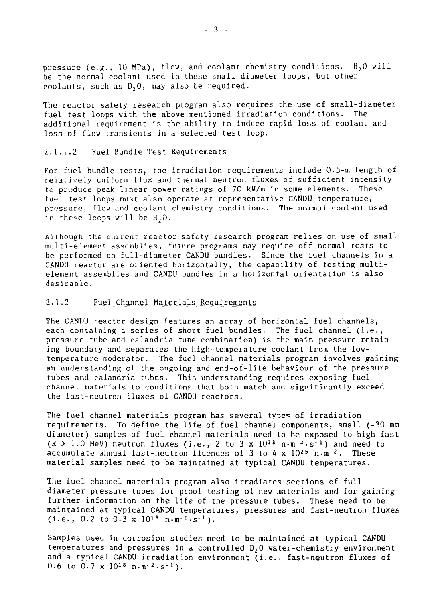pressure (e.g., 10 MPa), flow, and coolant chemistry conditions.  $H_2O$  will be the normal coolant used in these small diameter loops, but other coolants, such as  $D_2O$ , may also be required.

The reactor safety research program also requires the use of small-diameter fuel test loops with the above mentioned irradiation conditions. additional requirement is the ability to induce rapid loss of coolant and loss of flow transients in a selected test loop.

#### 2.1.1.2 Fuel Bundle Test Requirements

For fuel bundle tests, the irradiation requirements include 0.5-m length of relatively uniform flux and thermal neutron fluxes of sufficient intensity to produce peak linear power ratings of 70 kW/m in some elements. These fuel test loops must also operate at representative CANDU temperature, pressure, flow and coolant chemistry conditions. The normal coolant used in these loops will be  $H_2 O$ .

Although the cuirent reactor safety research program relies on use of small multi-element assemblies, future programs may require off-normal tests to be performed on full-diameter CANDU bundles. Since the fuel channels in a CANDU reactor are oriented horizontally, the capability of testing multielement assemblies and CANDU bundles in a horizontal orientation is also desirable.

#### 2.1.2 Fuel Channel Materials Requirements

The CANDU reactor design features an array of horizontal fuel channels, each containing a series of short fuel bundles. The fuel channel (i.e., pressure tube and calandria tube combination) is the main pressure retaining boundary and separates the high-temperature coolant from the lowtemperature moderator. The fuel channel materials program involves gaining an understanding of the ongoing and end-of-life behaviour of the pressure tubes and calandria tubes. This understanding requires exposing fuel channel materials to conditions that both match and significantly exceed the fast-neutron fluxes of CANDU reactors.

The fuel channel materials program has several types of irradiation requirements. To define the life of fuel channel components, small (~30-mm diameter) samples of fuel channel materials need to be exposed to high fast  $(E > 1.0$  MeV) neutron fluxes (i.e., 2 to 3 x  $10^{18}$  n.m<sup>-2</sup>.s<sup>-1</sup>) and need to accumulate annual fast-neutron fluences of 3 to 4 x  $10^{25}$  n $\cdot$ m $^{-2}$ . These material samples need to be maintained at typical CANDU temperatures.

The fuel channel materials program also irradiates sections of full diameter pressure tubes for proof testing of new materials and for gaining further information on the life of the pressure tubes. These need to be maintained at typical CANDU temperatures, pressures and fast-neutron fluxes (i.e., 0.2 to 0.3 x  $10^{18}$  n $\cdot$ m<sup>-2</sup> $\cdot$ s<sup>-1</sup>).

Samples used in corrosion studies need to be maintained at typical CANDU temperatures and pressures in a controlled D<sub>2</sub>0 water-chemistry environment and a typical CANDU irradiation environment (i.e., fast-neutron fluxes of 0.6 to 0.7 x  $10^{18}$  n $\cdot$ m<sup>-2</sup> $\cdot$ s<sup>-1</sup>).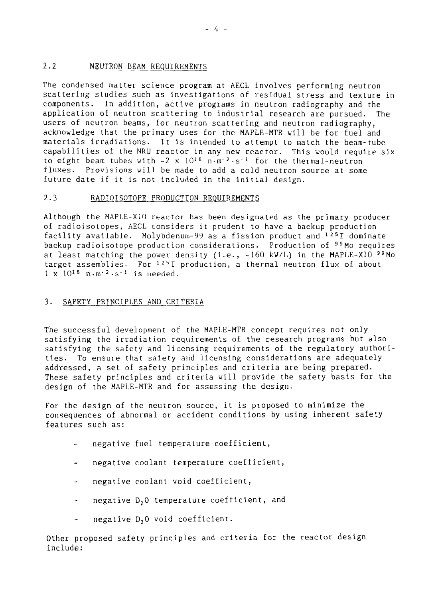#### 2.2 NEUTRON BEAM REQUIREMENTS

The condensed matter science program at AECL involves performing neutron scattering studies such as investigations of residual stress and texture in components. In addition, active programs in neutron radiography and the application of neutron scattering to industrial research are pursued. The users of neutron beams, for neutron scattering and neutron radiography, acknowledge that the primary uses for the MAPLE-MTR will be for fuel and materials irradiations. It is intended to attempt to match the beam-tube capabilities of the NRU reactor in any new reactor. This would require six to eight beam tubes with  $\sim 2 \times 10^{18} \text{ n} \cdot \text{m}^{-2} \cdot \text{s}^{-1}$  for the thermal-neutron fluxes. Provisions will be made to add a cold neutron source at some future date if it is not included in the initial design.

#### 2.3 RADIOISOTOPE PRODUCTION REQUIREMENTS

Although the MAPLE-X10 reactor has been designated as the primary producer of radioiso topes, AECL considers it prudent to have a backup production facility available. Molybdenum-99 as a fission product and <sup>125</sup> I dominate backup radioisotope production considerations. Production of  $99M$  requires at least matching the power density (i.e.,  $\sim 160$  kW/L) in the MAPLE-X10  $99$ Mo target assemblies. For  $^{125}$ I production, a thermal neutron flux of about  $1 \times 10^{18}$  n·m<sup>-2</sup>·s<sup>-1</sup> is needed.

#### 3. SAFETY PRINCIPLES AND CRITERIA

The successful development of the MAPLE-MTR concept requires not only satisfying the irradiation requirements of the research programs but also satisfying the safety and licensing requirements of the regulatory authorities. To ensure that safety and licensing considerations are adequately addressed, a set of safety principles and criteria are being prepared. These safety principles and criteria will provide the safety basis for the design of the MAPLE-MTR and for assessing the design.

For the design of the neutron source, it is proposed to minimize the consequences of abnormal or accident conditions by using inherent safety features such as:

- negative fuel temperature coefficient,
- negative coolant temperature coefficient,
- negative coolant void coefficient,
- negative D<sub>2</sub>0 temperature coefficient, and  $\sim$
- negative D<sub>2</sub>0 void coefficient.

Other proposed safety principles and criteria for the reactor design include: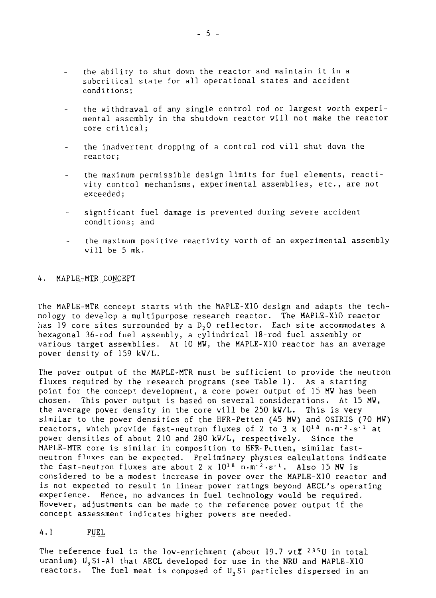- the ability to shut down the reactor and maintain it in a subcritical state for all operational states and accident condi tions;
- the withdrawal of any single control rod or largest worth experimental assembly in the shutdown reactor will not make the reactor core critical;
- the inadvertent dropping of a control rod will shut down the reactor;
- the maximum permissible design limits for fuel elements, reactivity control mechanisms, experimental assemblies, etc., are not exceeded;
- significant fuel damage is prevented during severe accident conditions; and
- the maximum positive reactivity worth of an experimental assembly will be 5 mk.

#### 4. MAPLE-MTR CONCEPT

The MAPLE-MTR concept starts with the MAPLE-X10 design and adapts the technology to develop a multipurpose research reactor. The MAPLE-X10 reactor has 19 core sites surrounded by a D, 0 reflector. Each site accommodates a hexagonal 36-rod fuel assembly, a cylindrical 18-rod fuel assembly or various target assemblies. At 10 MW, the MAPLE-X10 reactor has an average power density of 159 kV/L.

The power output of the MAPLE-MTR must be sufficient to provide the neutron fluxes required by the research programs (see Table 1). As a starting point for the concept development, a core power output of 15 MW has been chosen. This power output is based on several considerations. At 15 MW, the average power density in the core will be 250 kW/L. This is very similar to the power densities of the HFR-Petten (45 MW) and OSIRIS (70 MW) reactors, which provide fast-neutron fluxes of 2 to 3 x  $10^{18}$  n.m<sup>-2</sup>·s<sup>-1</sup> at power densities of about 210 and 280 kW/L, respectively. Since the MAPLE-MTR core is similar in composition to HFR-Pctten, similar fastneutron fluxes can be expected. Preliminary physics calculations indicate the fast-neutron fluxes are about  $2 \times 10^{18}$  n.m<sup>-2</sup>.s<sup>-1</sup>. Also 15 MW is considered to be a modest increase in power over the MAPLE-X10 reactor and is not expected to result in linear power ratings beyond AECL's operating experience. Hence, no advances in fuel technology would be required. However, adjustments can be made to the reference power output if the concept assessment indicates higher powers are needed.

#### 4.1 FUEL

The reference fuel is the low-enrichment (about 19.7 wt% <sup>235</sup>U in total uranium)  $U_3$ Si-Al that AECL developed for use in the NRU and MAPLE-X10 reactors. The fuel meat is composed of  $U_3$ Si particles dispersed in an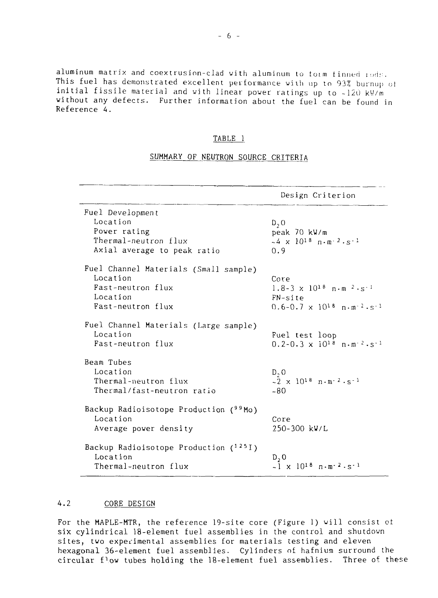aluminum matrix and coextrusion-clad with aluminum to form finned rods. This fuel has demonstrated excellent performance with up to 93% burnup of initial fissile material and with linear power ratings up to  $-120$  kW/m without any defects. Further information about the fuel can be found in Reference 4.

#### TABLE 1

#### SUMMARY OF NEUTRON SOURCE CRITERIA

|                                                                                                         | Design Criterion                                                                                                                       |
|---------------------------------------------------------------------------------------------------------|----------------------------------------------------------------------------------------------------------------------------------------|
| Fuel Development<br>Location<br>Power rating<br>Thermal-neutron flux<br>Axial average to peak ratio     | $D_2$ O<br>peak 70 kW/m<br>$\sim 4 \times 10^{18} \text{ m} \cdot \text{m} \cdot 2 \cdot \text{s}^{-1}$<br>0.9                         |
| Fuel Channel Materials (Small sample)<br>Location<br>Fast-neutron flux<br>Location<br>Fast-neutron flux | Core<br>$1.8-3 \times 10^{18}$ n.m $2.5^{-1}$<br>FN-site<br>$0.6-0.7 \times 10^{18} \text{ n} \cdot \text{m}^{-2} \cdot \text{s}^{-1}$ |
| Fuel Channel Materials (Large sample)<br>Location<br>Fast-neutron flux                                  | Fuel test loop<br>$0.2 - 0.3 \times 10^{18} \text{ n} \cdot \text{m}^{-2} \cdot \text{s}^{-1}$                                         |
| Beam Tubes<br>Location<br>Thermal-neutron flux<br>Thermal/fast-neutron ratio                            | $D - O$<br>$-2 \times 10^{18} \text{ n} \cdot \text{m} \cdot 2 \cdot \text{s}^{-1}$<br>$-80$                                           |
| Backup Radioisotope Production (99Mo)<br>Location<br>Average power density                              | Core<br>250-300 kV/L                                                                                                                   |
| Backup Radioisotope Production $(1251)$<br>Location<br>Thermal-neutron flux                             | D, 0<br>$\sim$ 1 x 10 <sup>18</sup> n·m <sup>-2</sup> ·s <sup>-1</sup>                                                                 |

### 4.2 CORE DESIGN

For the MAPLE-MTR, the reference 19-site core (Figure 1) will consist ot six cylindrical 18-element fuel assemblies in the control and shutdown sites, two experimental assemblies for materials testing and eleven hexagonal 36-element fuel assemblies. Cylinders of hafnium surround the circular flow tubes holding the 18-element fuel assemblies. Three of these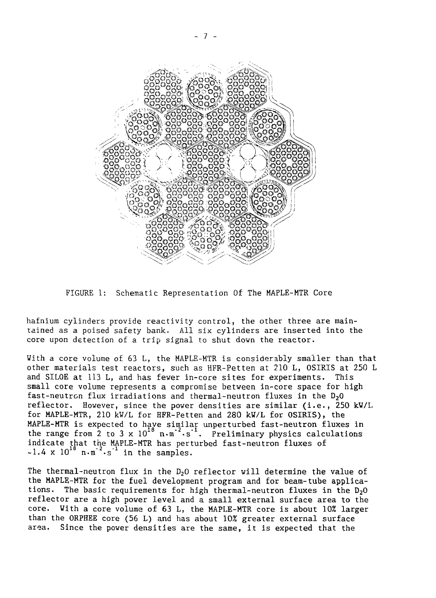

FIGURE 1: Schematic Representation Of The MAPLE-MTR Core

hafnium cylinders provide reactivity control, the other three are maintained as a poised safety bank. All six cylinders are inserted into the core upon detection of a trip signal to shut down the reactor.

With a core volume of 63 L, the MAPLE-MTR is considerably smaller than that other materials test reactors, such as HFR-Petten at 210 L, OSIRIS at 250 L and SILOE at 113 L, and has fewer in-core sites for experiments. This small core volume represents a compromise between in-core space for high fast-neutron flux irradiations and thermal-neutron fluxes in the D<sub>2</sub>0 reflector. However, since the power densities are similar (i.e., 250 kW/L for MAPLE-MTR, 210 kW/L for HFR-Petten and 280 kW/L for OSIRIS), the MAPLE-MTR is expected to have similar unperturbed fast-neutron fluxes in the range from 2 to 3 x  $10^{18}$  n.m<sup>-2</sup>.s<sup>-1</sup>. Preliminary physics calculations indicate that the MAPLE-MTR has perturbed fast-neutron fluxes of  $\sim$ 1.4 x 10<sup>10</sup> n·m<sup>-2</sup>·s<sup>-1</sup> in the samples.

The thermal-neutron flux in the  $D_2O$  reflector will determine the value of the MAPLE-MTR for the fuel development program and for beam-tube applications. The basic requirements for high thermal-neutron fluxes in the  $D<sub>2</sub>O$ reflector are a high power level and a small external surface area to the core. With a core volume of 63 L, the MAPLE-MTR core is about 10% larger than the ORPHEE core (56 L) and has about 10% greater external surface area. Since the power densities are the same, it is expected that the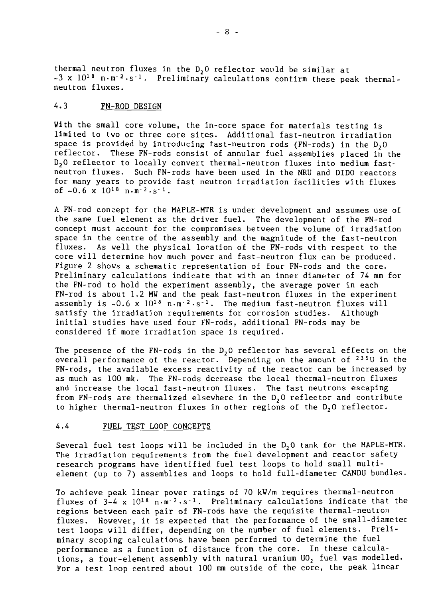thermal neutron fluxes in the  $D<sub>2</sub>0$  reflector would be similar at  $\sim$ 3 x 10<sup>18</sup> n·m<sup>-2</sup>·s<sup>-1</sup>. Preliminary calculations confirm these peak thermalneutron fluxes.

#### 4.3 FN-ROD DESIGN

With the small core volume, the in-core space for materials testing is limited to two or three core sites. Additional fast-neutron irradiation space is provided by introducing fast-neutron rods (FN-rods) in the  $D_2$ 0 reflector. These FN-rods consist of annular fuel assemblies placed in the  $D_2$ O reflector to locally convert thermal-neutron fluxes into medium fastneutron fluxes. Such FN-rods have been used in the NRU and DIDO reactors for many years to provide fast neutron irradiation facilities with fluxes of  $~0.6$  x  $10^{18}$  n $~\text{m}^{-2}$  s<sup>-1</sup>.

A FN-rod concept for the HAPLE-MTR is under development and assumes use of the same fuel element as the driver fuel. The development of the FN-rod concept must account for the compromises between the volume of irradiation space in the centre of the assembly and the magnitude of the fast-neutron fluxes. As well the physical location of the FN-rods with respect to the core will determine how much power and fast-neutron flux can be produced. Figure 2 shows a schematic representation of four FN-rods and the core. Preliminary calculations indicate that with an inner diameter of 74 mm for the FN-rod to hold the experiment assembly, the average power in each FN-rod is about 1.2 MW and the peak fast-neutron fluxes in the experiment assembly is  $\sim 0.6 \times 10^{18} \text{ n} \cdot \text{m}^{-2} \cdot \text{s}^{-1}$ . The medium fast-neutron fluxes will satisfy the irradiation requirements for corrosion studies. Although initial studies have used four FN-rods, additional FN-rods may be considered if more irradiation space is required.

The presence of the FN-rods in the  $D_2O$  reflector has several effects on the overall performance of the reactor. Depending on the amount of <sup>235</sup>U in the FN-rods, the available excess reactivity of the reactor can be increased by as much as 100 mk. The FN-rods decrease the local thermal-neutron fluxes and increase the local fast-neutron fluxes. The fast neutrons escaping from FN-rods are thermalized elsewhere in the D<sub>2</sub>0 reflector and contribute to higher thermal-neutron fluxes in other regions of the D<sub>2</sub>0 reflector.

#### 4.4 FUEL TEST LOOP CONCEPTS

Several fuel test loops will be included in the  $D_2O$  tank for the MAPLE-MTR. The irradiation requirements from the fuel development and reactor safety research programs have identified fuel test loops to hold small multielement (up to 7) assemblies and loops to hold full-diameter CANDU bundles.

To achieve peak linear power ratings of 70 kW/m requires thermal-neutron fluxes of  $3-4 \times 10^{18}$  n.m<sup>-2</sup>.s<sup>-1</sup>. Preliminary calculations indicate that the regions between each pair of FN-rods have the requisite thermal-neutron fluxes. However, it is expected that the performance of the small-diameter test loops will differ, depending on the number of fuel elements. Preliminary scoping calculations have been performed to determine the fuel performance as a function of distance from the core. In these calculations, a four-element assembly with natural uranium  $U0<sub>2</sub>$  fuel was modelled. For a test loop centred about 100 mm outside of the core, the peak linear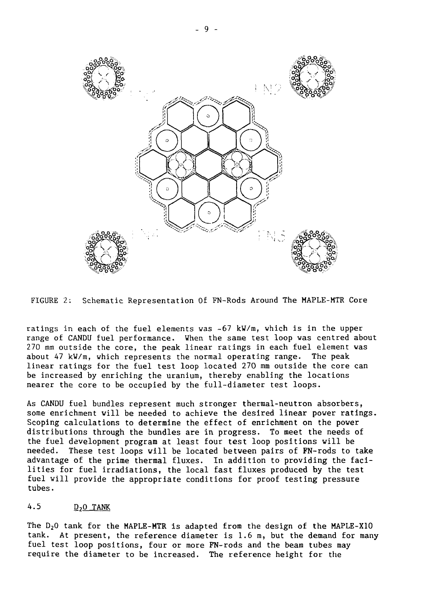

FIGURE 2: Schematic Representation Of FN-Rods Around The MAPLE-MTR Core

ratings in each of the fuel elements was  $~67$  kW/m, which is in the upper range of CANDU fuel performance. When the same test loop vas centred about 270 mm outside the core, the peak linear ratings in each fuel element was about 47 kW/m, which represents the normal operating range. The peak linear ratings for the fuel test loop located 270 mm outside the core can be increased by enriching the uranium, thereby enabling the locations nearer the core to be occupied by the full-diameter test loops.

As CANDU fuel bundles represent much stronger thermal-neutron absorbers, some enrichment will be needed to achieve the desired linear power ratings. Scoping calculations to determine the effect of enrichment on the power distributions through the bundles are in progress. To meet the needs of the fuel development program at least four test loop positions will be needed. These test loops will be located between pairs of FN-rods to take advantage of the prime thermal fluxes. In addition to providing the facilities for fuel irradiations, the local fast fluxes produced by the test fuel will provide the appropriate conditions for proof testing pressure tubes.

#### 4.5 D<sub>2</sub>O TANK

The  $D_2O$  tank for the MAPLE-MTR is adapted from the design of the MAPLE-X10 tank. At present, the reference diameter is 1.6 m, but the demand for many fuel test loop positions, four or more FN-rods and the beam tubes may require the diameter to be increased. The reference height for the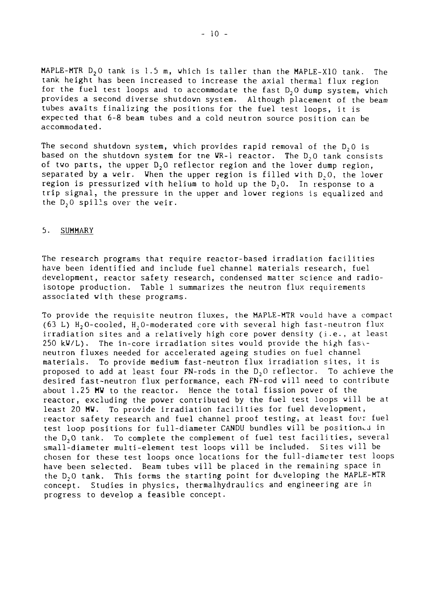MAPLE-MTR  $D_2O$  tank is 1.5 m, which is taller than the MAPLE-X10 tank. The tank height has been increased to increase the axial thermal flux region for the fuel test loops and to accommodate the fast  $D_2O$  dump system, which provides a second diverse shutdown system. Although placement of the beam tubes awaits finalizing the positions for the fuel test loops, it is expected that 6-8 beam tubes and a cold neutron source position can be accommodated.

The second shutdown system, which provides rapid removal of the  $D_2O$  is based on the shutdown system for tne UR-1 reactor. The D,0 tank consists of two parts, the upper  $D_2$ O reflector region and the lower dump region, separated by a weir. When the upper region is filled with D, O, the lower region is pressurized with helium to hold up the D,0. In response to a trip signal, the pressure in the upper and lower regions is equalized and the  $D_2$ <sup>o</sup> spills over the weir.

#### 5. SUMMARY

The research programs that require reactor-based irradiation facilities have been identified and include fuel channel materials research, fuel development, reactor safety research, condensed matter science and radioisotope production. Table 1 summarizes the neutron flux requirements associated with these programs.

To provide the requisite neutron fluxes, the MAPLE-MTR would have a compact (63 L)  $H_2O$ -cooled,  $H_2O$ -moderated core with several high fast-neutron flux irradiation sites and a relatively high core power density (i.e., at least  $250$  kW/L). The in-core irradiation sites would provide the high fastneutron fluxes needed for accelerated ageing studies on fuel channel materials. To provide medium fast-neutron flux irradiation sites, it is proposed to add at least four FN-rods in the  $D_2O$  reflector. To achieve the desired fast-neutron flux performance, each FN-rod will need to contribute about 1.25 MW to the reactor. Hence the total fission power of the reactor, excluding the power contributed by the fuel test loops will be at least 20 MW. To provide irradiation facilities for fuel development, reactor safety research and fuel channel proof testing, at least four fuel test loop positions for full-diameter CANDU bundles will be positioned in the D,0 tank. To complete the complement of fuel test facilities, several small-diameter multi-element test loops will be included. Sites will be chosen for these test loops once locations for the full-diameter test loops have been selected. Beam tubes will be placed in the remaining space in the D<sub>2</sub>0 tank. This forms the starting point for developing the MAPLE-MTR concept. Studies in physics, thermalhydraulics and engineering are in progress to develop a feasible concept.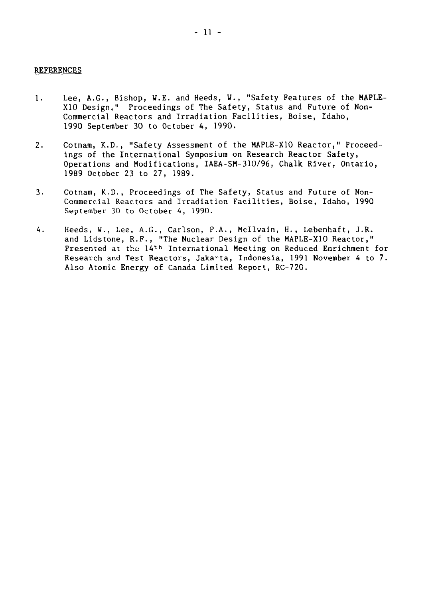#### REFERENCES

- 1. Lee, A.G., Bishop, W.E. and Heeds, V., "Safety Features of the MAPLE-X10 Design," Proceedings of The Safety, Status and Future of Non-Commercial Reactors and Irradiation Facilities, Boise, Idaho, 1990 September 30 to October 4, 1990.
- 2. Cotnam, K.D., "Safety Assessment of the MAPLE-X10 Reactor," Proceedings of the International Symposium on Research Reactor Safety, Operations and Modifications, IAEA-SM-310/96, Chalk River, Ontario, 1989 October 23 to 27, 1989.
- 3. Cotnam, K.D., Proceedings of The Safety, Status and Future of Noncommercial Reactors and Irradiation Facilities, Boise, Idaho, 1990 September 30 to October 4, 1990.
- 4. Heeds, W., Lee, A.G., Carlson, P.A., Hcllwain, H., Lebenhaft, J.R. and Lidstone, R.F., "The Nuclear Design of the MAPLE-X10 Reactor," Presented at the 14th International Meeting on Reduced Enrichment for Research and Test Reactors, Jakarta, Indonesia, 1991 November 4 to 7. Also Atomic Energy of Canada Limited Report, RC-720.